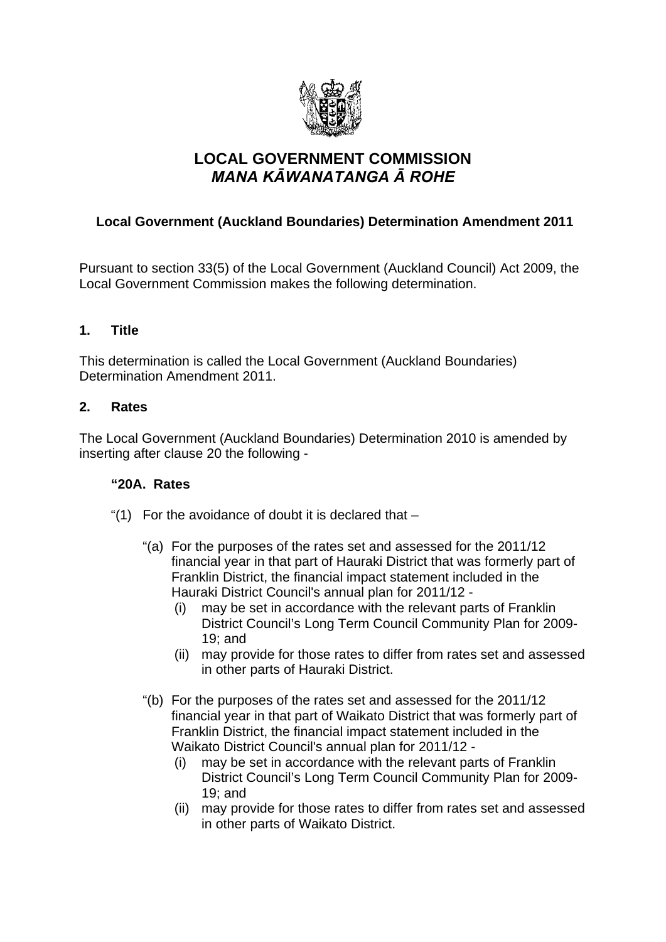

# **LOCAL GOVERNMENT COMMISSION**  *MANA KĀWANATANGA Ā ROHE*

## **Local Government (Auckland Boundaries) Determination Amendment 2011**

Pursuant to section 33(5) of the Local Government (Auckland Council) Act 2009, the Local Government Commission makes the following determination.

### **1. Title**

This determination is called the Local Government (Auckland Boundaries) Determination Amendment 2011.

#### **2. Rates**

The Local Government (Auckland Boundaries) Determination 2010 is amended by inserting after clause 20 the following -

#### **"20A. Rates**

- "(1) For the avoidance of doubt it is declared that
	- "(a) For the purposes of the rates set and assessed for the 2011/12 financial year in that part of Hauraki District that was formerly part of Franklin District, the financial impact statement included in the Hauraki District Council's annual plan for 2011/12 -
		- (i) may be set in accordance with the relevant parts of Franklin District Council's Long Term Council Community Plan for 2009- 19; and
		- (ii) may provide for those rates to differ from rates set and assessed in other parts of Hauraki District.
	- "(b) For the purposes of the rates set and assessed for the 2011/12 financial year in that part of Waikato District that was formerly part of Franklin District, the financial impact statement included in the Waikato District Council's annual plan for 2011/12 -
		- (i) may be set in accordance with the relevant parts of Franklin District Council's Long Term Council Community Plan for 2009- 19; and
		- (ii) may provide for those rates to differ from rates set and assessed in other parts of Waikato District.